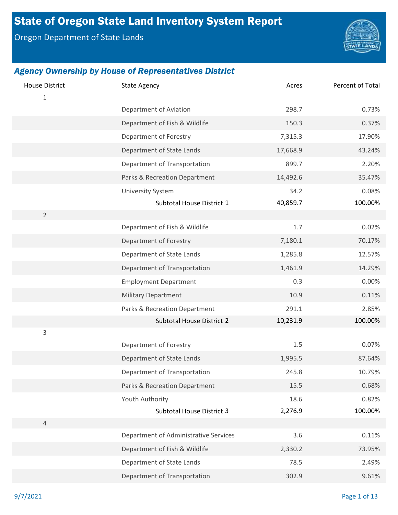# State of Oregon State Land Inventory System Report

Oregon Department of State Lands



| <b>House District</b><br>$\mathbf{1}$ | <b>State Agency</b>                                       | Acres            | Percent of Total |
|---------------------------------------|-----------------------------------------------------------|------------------|------------------|
|                                       | Department of Aviation                                    | 298.7            | 0.73%            |
|                                       | Department of Fish & Wildlife                             | 150.3            | 0.37%            |
|                                       | Department of Forestry                                    | 7,315.3          | 17.90%           |
|                                       | Department of State Lands                                 | 17,668.9         | 43.24%           |
|                                       | Department of Transportation                              | 899.7            | 2.20%            |
|                                       | Parks & Recreation Department                             | 14,492.6         | 35.47%           |
|                                       | <b>University System</b><br>Subtotal House District 1     | 34.2<br>40,859.7 | 0.08%<br>100.00% |
| $\overline{2}$                        |                                                           |                  |                  |
|                                       | Department of Fish & Wildlife                             | 1.7              | 0.02%            |
|                                       | Department of Forestry                                    | 7,180.1          | 70.17%           |
|                                       | Department of State Lands                                 | 1,285.8          | 12.57%           |
|                                       | Department of Transportation                              | 1,461.9          | 14.29%           |
|                                       | <b>Employment Department</b>                              | 0.3              | 0.00%            |
|                                       | <b>Military Department</b>                                | 10.9             | 0.11%            |
|                                       | Parks & Recreation Department                             | 291.1            | 2.85%            |
|                                       | Subtotal House District 2                                 | 10,231.9         | 100.00%          |
| 3                                     |                                                           |                  |                  |
|                                       | Department of Forestry                                    | $1.5\,$          | 0.07%<br>87.64%  |
|                                       | Department of State Lands<br>Department of Transportation | 1,995.5<br>245.8 | 10.79%           |
|                                       |                                                           | 15.5             | 0.68%            |
|                                       | Parks & Recreation Department                             |                  |                  |
|                                       | Youth Authority<br>Subtotal House District 3              | 18.6<br>2,276.9  | 0.82%<br>100.00% |
| $\overline{4}$                        |                                                           |                  |                  |
|                                       | Department of Administrative Services                     | 3.6              | 0.11%            |
|                                       | Department of Fish & Wildlife                             | 2,330.2          | 73.95%           |
|                                       | Department of State Lands                                 | 78.5             | 2.49%            |
|                                       | Department of Transportation                              | 302.9            | 9.61%            |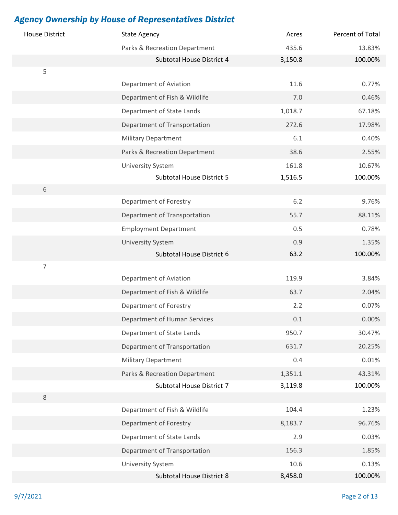| <b>House District</b> | <b>State Agency</b>           | Acres   | Percent of Total |
|-----------------------|-------------------------------|---------|------------------|
|                       | Parks & Recreation Department | 435.6   | 13.83%           |
|                       | Subtotal House District 4     | 3,150.8 | 100.00%          |
| 5                     |                               |         |                  |
|                       | Department of Aviation        | 11.6    | 0.77%            |
|                       | Department of Fish & Wildlife | 7.0     | 0.46%            |
|                       | Department of State Lands     | 1,018.7 | 67.18%           |
|                       | Department of Transportation  | 272.6   | 17.98%           |
|                       | <b>Military Department</b>    | 6.1     | 0.40%            |
|                       | Parks & Recreation Department | 38.6    | 2.55%            |
|                       | <b>University System</b>      | 161.8   | 10.67%           |
|                       | Subtotal House District 5     | 1,516.5 | 100.00%          |
| 6                     |                               |         |                  |
|                       | Department of Forestry        | 6.2     | 9.76%            |
|                       | Department of Transportation  | 55.7    | 88.11%           |
|                       | <b>Employment Department</b>  | 0.5     | 0.78%            |
|                       | <b>University System</b>      | 0.9     | 1.35%            |
|                       | Subtotal House District 6     | 63.2    | 100.00%          |
| 7                     |                               |         |                  |
|                       | Department of Aviation        | 119.9   | 3.84%            |
|                       | Department of Fish & Wildlife | 63.7    | 2.04%            |
|                       | Department of Forestry        | 2.2     | 0.07%            |
|                       | Department of Human Services  | $0.1\,$ | 0.00%            |
|                       | Department of State Lands     | 950.7   | 30.47%           |
|                       | Department of Transportation  | 631.7   | 20.25%           |
|                       | <b>Military Department</b>    | 0.4     | 0.01%            |
|                       | Parks & Recreation Department | 1,351.1 | 43.31%           |
|                       | Subtotal House District 7     | 3,119.8 | 100.00%          |
| $\,8\,$               |                               |         |                  |
|                       | Department of Fish & Wildlife | 104.4   | 1.23%            |
|                       | Department of Forestry        | 8,183.7 | 96.76%           |
|                       | Department of State Lands     | 2.9     | 0.03%            |
|                       | Department of Transportation  | 156.3   | 1.85%            |
|                       | <b>University System</b>      | 10.6    | 0.13%            |
|                       | Subtotal House District 8     | 8,458.0 | 100.00%          |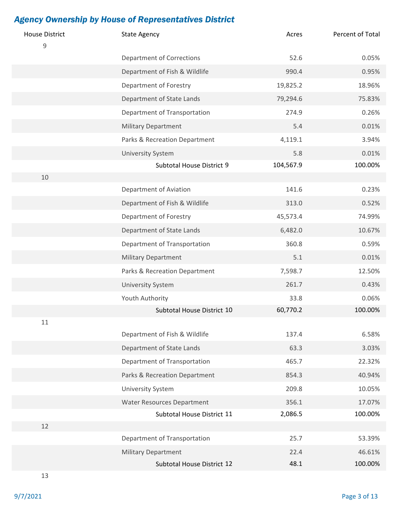| <b>House District</b><br>$\mathsf 9$ | <b>State Agency</b>               | Acres     | Percent of Total |
|--------------------------------------|-----------------------------------|-----------|------------------|
|                                      | <b>Department of Corrections</b>  | 52.6      | 0.05%            |
|                                      | Department of Fish & Wildlife     | 990.4     | 0.95%            |
|                                      | Department of Forestry            | 19,825.2  | 18.96%           |
|                                      | Department of State Lands         | 79,294.6  | 75.83%           |
|                                      | Department of Transportation      | 274.9     | 0.26%            |
|                                      | <b>Military Department</b>        | 5.4       | 0.01%            |
|                                      | Parks & Recreation Department     | 4,119.1   | 3.94%            |
|                                      | <b>University System</b>          | 5.8       | 0.01%            |
|                                      | Subtotal House District 9         | 104,567.9 | 100.00%          |
| 10                                   |                                   |           |                  |
|                                      | Department of Aviation            | 141.6     | 0.23%            |
|                                      | Department of Fish & Wildlife     | 313.0     | 0.52%            |
|                                      | Department of Forestry            | 45,573.4  | 74.99%           |
|                                      | Department of State Lands         | 6,482.0   | 10.67%           |
|                                      | Department of Transportation      | 360.8     | 0.59%            |
|                                      | <b>Military Department</b>        | 5.1       | 0.01%            |
|                                      | Parks & Recreation Department     | 7,598.7   | 12.50%           |
|                                      | <b>University System</b>          | 261.7     | 0.43%            |
|                                      | Youth Authority                   | 33.8      | 0.06%            |
|                                      | Subtotal House District 10        | 60,770.2  | 100.00%          |
| 11                                   |                                   |           |                  |
|                                      | Department of Fish & Wildlife     | 137.4     | 6.58%            |
|                                      | Department of State Lands         | 63.3      | 3.03%            |
|                                      | Department of Transportation      | 465.7     | 22.32%           |
|                                      | Parks & Recreation Department     | 854.3     | 40.94%           |
|                                      | <b>University System</b>          | 209.8     | 10.05%           |
|                                      | <b>Water Resources Department</b> | 356.1     | 17.07%           |
|                                      | Subtotal House District 11        | 2,086.5   | 100.00%          |
| 12                                   |                                   |           |                  |
|                                      | Department of Transportation      | 25.7      | 53.39%           |
|                                      | <b>Military Department</b>        | 22.4      | 46.61%           |
|                                      | Subtotal House District 12        | 48.1      | 100.00%          |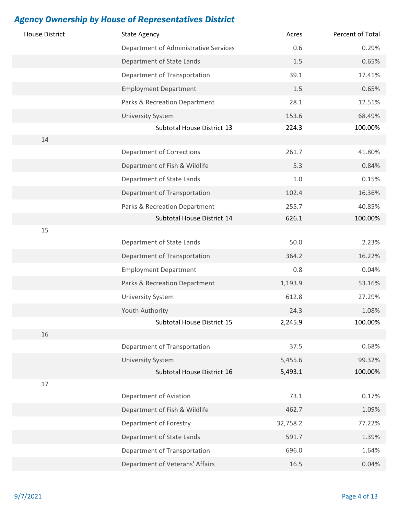| <b>House District</b> | <b>State Agency</b>                   | Acres    | Percent of Total |
|-----------------------|---------------------------------------|----------|------------------|
|                       | Department of Administrative Services | 0.6      | 0.29%            |
|                       | Department of State Lands             | 1.5      | 0.65%            |
|                       | Department of Transportation          | 39.1     | 17.41%           |
|                       | <b>Employment Department</b>          | $1.5\,$  | 0.65%            |
|                       | Parks & Recreation Department         | 28.1     | 12.51%           |
|                       | <b>University System</b>              | 153.6    | 68.49%           |
|                       | Subtotal House District 13            | 224.3    | 100.00%          |
| 14                    |                                       |          |                  |
|                       | <b>Department of Corrections</b>      | 261.7    | 41.80%           |
|                       | Department of Fish & Wildlife         | 5.3      | 0.84%            |
|                       | Department of State Lands             | $1.0\,$  | 0.15%            |
|                       | Department of Transportation          | 102.4    | 16.36%           |
|                       | Parks & Recreation Department         | 255.7    | 40.85%           |
|                       | Subtotal House District 14            | 626.1    | 100.00%          |
| 15                    |                                       |          |                  |
|                       | Department of State Lands             | 50.0     | 2.23%            |
|                       | Department of Transportation          | 364.2    | 16.22%           |
|                       | <b>Employment Department</b>          | 0.8      | 0.04%            |
|                       | Parks & Recreation Department         | 1,193.9  | 53.16%           |
|                       | <b>University System</b>              | 612.8    | 27.29%           |
|                       | Youth Authority                       | 24.3     | 1.08%            |
|                       | Subtotal House District 15            | 2,245.9  | 100.00%          |
| 16                    |                                       |          |                  |
|                       | Department of Transportation          | 37.5     | 0.68%            |
|                       | <b>University System</b>              | 5,455.6  | 99.32%           |
|                       | Subtotal House District 16            | 5,493.1  | 100.00%          |
| 17                    |                                       |          |                  |
|                       | Department of Aviation                | 73.1     | 0.17%            |
|                       | Department of Fish & Wildlife         | 462.7    | 1.09%            |
|                       | Department of Forestry                | 32,758.2 | 77.22%           |
|                       | Department of State Lands             | 591.7    | 1.39%            |
|                       | Department of Transportation          | 696.0    | 1.64%            |
|                       | Department of Veterans' Affairs       | 16.5     | 0.04%            |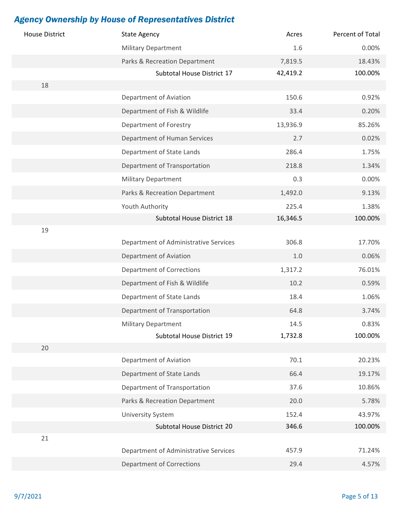| <b>House District</b> | <b>State Agency</b>                   | Acres    | Percent of Total |
|-----------------------|---------------------------------------|----------|------------------|
|                       | <b>Military Department</b>            | 1.6      | 0.00%            |
|                       | Parks & Recreation Department         | 7,819.5  | 18.43%           |
|                       | Subtotal House District 17            | 42,419.2 | 100.00%          |
| 18                    |                                       |          |                  |
|                       | Department of Aviation                | 150.6    | 0.92%            |
|                       | Department of Fish & Wildlife         | 33.4     | 0.20%            |
|                       | Department of Forestry                | 13,936.9 | 85.26%           |
|                       | Department of Human Services          | 2.7      | 0.02%            |
|                       | Department of State Lands             | 286.4    | 1.75%            |
|                       | Department of Transportation          | 218.8    | 1.34%            |
|                       | <b>Military Department</b>            | 0.3      | 0.00%            |
|                       | Parks & Recreation Department         | 1,492.0  | 9.13%            |
|                       | Youth Authority                       | 225.4    | 1.38%            |
|                       | Subtotal House District 18            | 16,346.5 | 100.00%          |
| 19                    |                                       |          |                  |
|                       | Department of Administrative Services | 306.8    | 17.70%           |
|                       | Department of Aviation                | 1.0      | 0.06%            |
|                       | <b>Department of Corrections</b>      | 1,317.2  | 76.01%           |
|                       | Department of Fish & Wildlife         | 10.2     | 0.59%            |
|                       | Department of State Lands             | 18.4     | 1.06%            |
|                       | Department of Transportation          | 64.8     | 3.74%            |
|                       | <b>Military Department</b>            | 14.5     | 0.83%            |
|                       | Subtotal House District 19            | 1,732.8  | 100.00%          |
| 20                    |                                       |          |                  |
|                       | Department of Aviation                | 70.1     | 20.23%           |
|                       | Department of State Lands             | 66.4     | 19.17%           |
|                       | Department of Transportation          | 37.6     | 10.86%           |
|                       | Parks & Recreation Department         | 20.0     | 5.78%            |
|                       | <b>University System</b>              | 152.4    | 43.97%           |
|                       | Subtotal House District 20            | 346.6    | 100.00%          |
| 21                    |                                       |          |                  |
|                       | Department of Administrative Services | 457.9    | 71.24%           |
|                       | <b>Department of Corrections</b>      | 29.4     | 4.57%            |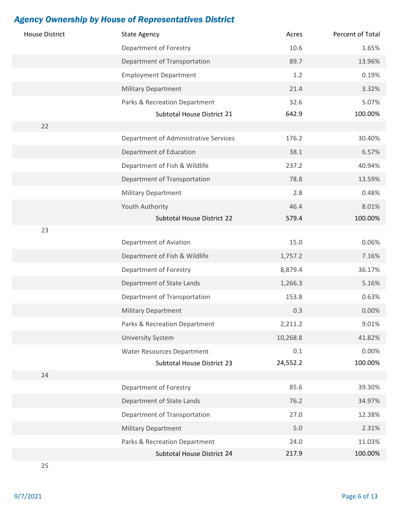| <b>House District</b> | <b>State Agency</b>                   | Acres    | Percent of Total |
|-----------------------|---------------------------------------|----------|------------------|
|                       | Department of Forestry                | 10.6     | 1.65%            |
|                       | Department of Transportation          | 89.7     | 13.96%           |
|                       | <b>Employment Department</b>          | 1.2      | 0.19%            |
|                       | <b>Military Department</b>            | 21.4     | 3.32%            |
|                       | Parks & Recreation Department         | 32.6     | 5.07%            |
|                       | Subtotal House District 21            | 642.9    | 100.00%          |
| 22                    |                                       |          |                  |
|                       | Department of Administrative Services | 176.2    | 30.40%           |
|                       | Department of Education               | 38.1     | 6.57%            |
|                       | Department of Fish & Wildlife         | 237.2    | 40.94%           |
|                       | Department of Transportation          | 78.8     | 13.59%           |
|                       | <b>Military Department</b>            | 2.8      | 0.48%            |
|                       | Youth Authority                       | 46.4     | 8.01%            |
|                       | Subtotal House District 22            | 579.4    | 100.00%          |
| 23                    |                                       |          |                  |
|                       | Department of Aviation                | 15.0     | 0.06%            |
|                       | Department of Fish & Wildlife         | 1,757.2  | 7.16%            |
|                       | Department of Forestry                | 8,879.4  | 36.17%           |
|                       | Department of State Lands             | 1,266.3  | 5.16%            |
|                       | Department of Transportation          | 153.8    | 0.63%            |
|                       | <b>Military Department</b>            | 0.3      | 0.00%            |
|                       | Parks & Recreation Department         | 2,211.2  | 9.01%            |
|                       | <b>University System</b>              | 10,268.8 | 41.82%           |
|                       | <b>Water Resources Department</b>     | 0.1      | 0.00%            |
|                       | Subtotal House District 23            | 24,552.2 | 100.00%          |
| 24                    |                                       |          |                  |
|                       | Department of Forestry                | 85.6     | 39.30%           |
|                       | Department of State Lands             | 76.2     | 34.97%           |
|                       | Department of Transportation          | 27.0     | 12.38%           |
|                       | <b>Military Department</b>            | 5.0      | 2.31%            |
|                       | Parks & Recreation Department         | 24.0     | 11.03%           |
|                       | Subtotal House District 24            | 217.9    | 100.00%          |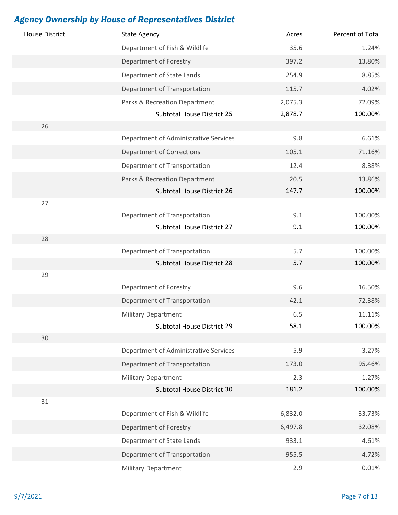| <b>House District</b> | <b>State Agency</b>                                      | Acres        | Percent of Total |
|-----------------------|----------------------------------------------------------|--------------|------------------|
|                       | Department of Fish & Wildlife                            | 35.6         | 1.24%            |
|                       | Department of Forestry                                   | 397.2        | 13.80%           |
|                       | Department of State Lands                                | 254.9        | 8.85%            |
|                       | Department of Transportation                             | 115.7        | 4.02%            |
|                       | Parks & Recreation Department                            | 2,075.3      | 72.09%           |
|                       | Subtotal House District 25                               | 2,878.7      | 100.00%          |
| 26                    |                                                          |              |                  |
|                       | Department of Administrative Services                    | 9.8          | 6.61%            |
|                       | <b>Department of Corrections</b>                         | 105.1        | 71.16%           |
|                       | Department of Transportation                             | 12.4         | 8.38%            |
|                       | Parks & Recreation Department                            | 20.5         | 13.86%           |
|                       | Subtotal House District 26                               | 147.7        | 100.00%          |
| 27                    |                                                          |              |                  |
|                       | Department of Transportation                             | 9.1          | 100.00%          |
|                       | Subtotal House District 27                               | 9.1          | 100.00%          |
| 28                    |                                                          |              |                  |
|                       | Department of Transportation                             | 5.7          | 100.00%          |
|                       | Subtotal House District 28                               | 5.7          | 100.00%          |
| 29                    |                                                          |              |                  |
|                       | Department of Forestry                                   | 9.6          | 16.50%           |
|                       | Department of Transportation                             | 42.1         | 72.38%           |
|                       | <b>Military Department</b>                               | 6.5          | 11.11%           |
| 30                    | Subtotal House District 29                               | 58.1         | 100.00%          |
|                       | Department of Administrative Services                    | 5.9          | 3.27%            |
|                       |                                                          |              |                  |
|                       | Department of Transportation                             | 173.0        | 95.46%           |
|                       | <b>Military Department</b><br>Subtotal House District 30 | 2.3<br>181.2 | 1.27%<br>100.00% |
| 31                    |                                                          |              |                  |
|                       | Department of Fish & Wildlife                            | 6,832.0      | 33.73%           |
|                       | Department of Forestry                                   | 6,497.8      | 32.08%           |
|                       | Department of State Lands                                | 933.1        | 4.61%            |
|                       | Department of Transportation                             | 955.5        | 4.72%            |
|                       | Military Department                                      | 2.9          | 0.01%            |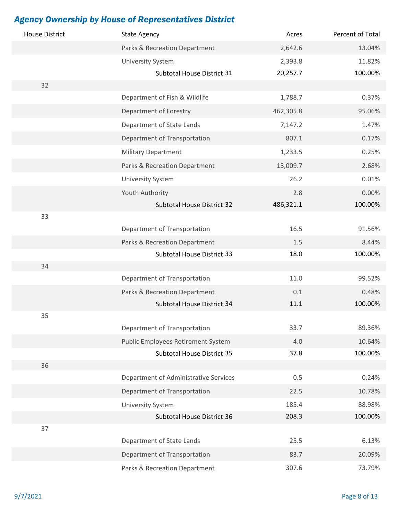| <b>House District</b> | <b>State Agency</b>                             | Acres          | Percent of Total  |
|-----------------------|-------------------------------------------------|----------------|-------------------|
|                       | Parks & Recreation Department                   | 2,642.6        | 13.04%            |
|                       | <b>University System</b>                        | 2,393.8        | 11.82%            |
|                       | Subtotal House District 31                      | 20,257.7       | 100.00%           |
| 32                    |                                                 |                |                   |
|                       | Department of Fish & Wildlife                   | 1,788.7        | 0.37%             |
|                       | Department of Forestry                          | 462,305.8      | 95.06%            |
|                       | Department of State Lands                       | 7,147.2        | 1.47%             |
|                       | Department of Transportation                    | 807.1          | 0.17%             |
|                       | <b>Military Department</b>                      | 1,233.5        | 0.25%             |
|                       | Parks & Recreation Department                   | 13,009.7       | 2.68%             |
|                       | <b>University System</b>                        | 26.2           | 0.01%             |
|                       | Youth Authority                                 | 2.8            | 0.00%             |
|                       | Subtotal House District 32                      | 486,321.1      | 100.00%           |
| 33                    |                                                 |                |                   |
|                       | Department of Transportation                    | 16.5           | 91.56%            |
|                       | Parks & Recreation Department                   | 1.5            | 8.44%             |
|                       | Subtotal House District 33                      | 18.0           | 100.00%           |
| 34                    |                                                 |                |                   |
|                       | Department of Transportation                    | 11.0           | 99.52%            |
|                       | Parks & Recreation Department                   | 0.1            | 0.48%             |
|                       | Subtotal House District 34                      | 11.1           | 100.00%           |
| 35                    |                                                 |                |                   |
|                       | Department of Transportation                    | 33.7           | 89.36%            |
|                       | Public Employees Retirement System              | 4.0            | 10.64%            |
| 36                    | Subtotal House District 35                      | 37.8           | 100.00%           |
|                       | Department of Administrative Services           | 0.5            | 0.24%             |
|                       | Department of Transportation                    | 22.5           | 10.78%            |
|                       |                                                 |                |                   |
|                       | University System<br>Subtotal House District 36 | 185.4<br>208.3 | 88.98%<br>100.00% |
| 37                    |                                                 |                |                   |
|                       | Department of State Lands                       | 25.5           | 6.13%             |
|                       | Department of Transportation                    | 83.7           | 20.09%            |
|                       | Parks & Recreation Department                   | 307.6          | 73.79%            |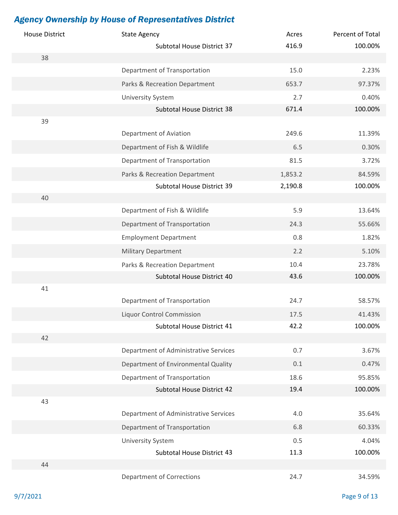| <b>House District</b> | <b>State Agency</b>                   | Acres   | Percent of Total |
|-----------------------|---------------------------------------|---------|------------------|
|                       | Subtotal House District 37            | 416.9   | 100.00%          |
| 38                    |                                       |         |                  |
|                       | Department of Transportation          | 15.0    | 2.23%            |
|                       | Parks & Recreation Department         | 653.7   | 97.37%           |
|                       | <b>University System</b>              | 2.7     | 0.40%            |
|                       | Subtotal House District 38            | 671.4   | 100.00%          |
| 39                    |                                       |         |                  |
|                       | Department of Aviation                | 249.6   | 11.39%           |
|                       | Department of Fish & Wildlife         | 6.5     | 0.30%            |
|                       | Department of Transportation          | 81.5    | 3.72%            |
|                       | Parks & Recreation Department         | 1,853.2 | 84.59%           |
|                       | Subtotal House District 39            | 2,190.8 | 100.00%          |
| 40                    |                                       |         |                  |
|                       | Department of Fish & Wildlife         | 5.9     | 13.64%           |
|                       | Department of Transportation          | 24.3    | 55.66%           |
|                       | <b>Employment Department</b>          | 0.8     | 1.82%            |
|                       | <b>Military Department</b>            | 2.2     | 5.10%            |
|                       | Parks & Recreation Department         | 10.4    | 23.78%           |
|                       | Subtotal House District 40            | 43.6    | 100.00%          |
| 41                    |                                       |         |                  |
|                       | Department of Transportation          | 24.7    | 58.57%           |
|                       | <b>Liquor Control Commission</b>      | 17.5    | 41.43%           |
|                       | Subtotal House District 41            | 42.2    | 100.00%          |
| 42                    |                                       |         |                  |
|                       | Department of Administrative Services | 0.7     | 3.67%            |
|                       | Department of Environmental Quality   | 0.1     | 0.47%            |
|                       | Department of Transportation          | 18.6    | 95.85%           |
|                       | Subtotal House District 42            | 19.4    | 100.00%          |
| 43                    |                                       |         |                  |
|                       | Department of Administrative Services | 4.0     | 35.64%           |
|                       | Department of Transportation          | 6.8     | 60.33%           |
|                       | <b>University System</b>              | 0.5     | 4.04%            |
|                       | Subtotal House District 43            | 11.3    | 100.00%          |
| 44                    |                                       |         |                  |
|                       | <b>Department of Corrections</b>      | 24.7    | 34.59%           |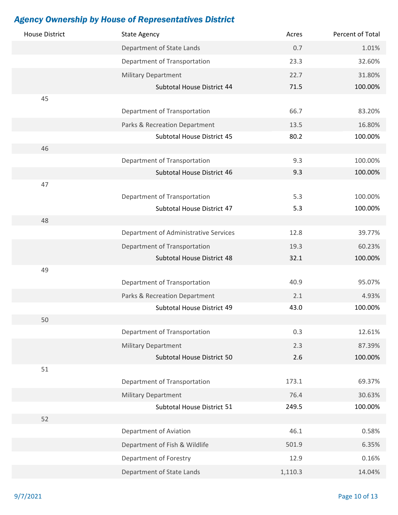| <b>House District</b> | <b>State Agency</b>                                      | Acres       | Percent of Total  |
|-----------------------|----------------------------------------------------------|-------------|-------------------|
|                       | Department of State Lands                                | 0.7         | 1.01%             |
|                       | Department of Transportation                             | 23.3        | 32.60%            |
|                       | <b>Military Department</b>                               | 22.7        | 31.80%            |
|                       | Subtotal House District 44                               | 71.5        | 100.00%           |
| 45                    |                                                          |             |                   |
|                       | Department of Transportation                             | 66.7        | 83.20%            |
|                       | Parks & Recreation Department                            | 13.5        | 16.80%            |
|                       | Subtotal House District 45                               | 80.2        | 100.00%           |
| 46                    |                                                          |             |                   |
|                       | Department of Transportation                             | 9.3         | 100.00%           |
|                       | Subtotal House District 46                               | 9.3         | 100.00%           |
| 47                    |                                                          |             |                   |
|                       | Department of Transportation                             | 5.3         | 100.00%           |
|                       | Subtotal House District 47                               | 5.3         | 100.00%           |
| 48                    |                                                          |             |                   |
|                       | Department of Administrative Services                    | 12.8        | 39.77%            |
|                       | Department of Transportation                             | 19.3        | 60.23%            |
|                       | Subtotal House District 48                               | 32.1        | 100.00%           |
| 49                    |                                                          | 40.9        | 95.07%            |
|                       | Department of Transportation                             |             |                   |
|                       | Parks & Recreation Department                            | 2.1<br>43.0 | 4.93%<br>100.00%  |
| 50                    | Subtotal House District 49                               |             |                   |
|                       | Department of Transportation                             | 0.3         | 12.61%            |
|                       |                                                          |             |                   |
|                       | <b>Military Department</b><br>Subtotal House District 50 | 2.3<br>2.6  | 87.39%<br>100.00% |
| 51                    |                                                          |             |                   |
|                       | Department of Transportation                             | 173.1       | 69.37%            |
|                       | <b>Military Department</b>                               | 76.4        | 30.63%            |
|                       | Subtotal House District 51                               | 249.5       | 100.00%           |
| 52                    |                                                          |             |                   |
|                       | Department of Aviation                                   | 46.1        | 0.58%             |
|                       | Department of Fish & Wildlife                            | 501.9       | 6.35%             |
|                       |                                                          |             |                   |
|                       | Department of Forestry                                   | 12.9        | 0.16%             |
|                       | Department of State Lands                                | 1,110.3     | 14.04%            |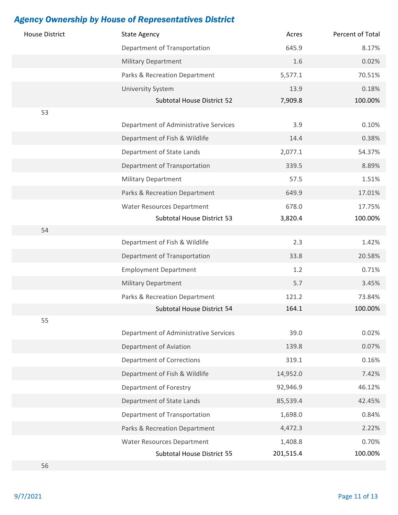| <b>House District</b> | <b>State Agency</b>                   | Acres     | Percent of Total |
|-----------------------|---------------------------------------|-----------|------------------|
|                       | Department of Transportation          | 645.9     | 8.17%            |
|                       | <b>Military Department</b>            | 1.6       | 0.02%            |
|                       | Parks & Recreation Department         | 5,577.1   | 70.51%           |
|                       | <b>University System</b>              | 13.9      | 0.18%            |
|                       | Subtotal House District 52            | 7,909.8   | 100.00%          |
| 53                    |                                       |           |                  |
|                       | Department of Administrative Services | 3.9       | 0.10%            |
|                       | Department of Fish & Wildlife         | 14.4      | 0.38%            |
|                       | Department of State Lands             | 2,077.1   | 54.37%           |
|                       | Department of Transportation          | 339.5     | 8.89%            |
|                       | <b>Military Department</b>            | 57.5      | 1.51%            |
|                       | Parks & Recreation Department         | 649.9     | 17.01%           |
|                       | <b>Water Resources Department</b>     | 678.0     | 17.75%           |
|                       | Subtotal House District 53            | 3,820.4   | 100.00%          |
| 54                    |                                       |           |                  |
|                       | Department of Fish & Wildlife         | 2.3       | 1.42%            |
|                       | Department of Transportation          | 33.8      | 20.58%           |
|                       | <b>Employment Department</b>          | 1.2       | 0.71%            |
|                       | <b>Military Department</b>            | 5.7       | 3.45%            |
|                       | Parks & Recreation Department         | 121.2     | 73.84%           |
|                       | Subtotal House District 54            | 164.1     | 100.00%          |
| 55                    |                                       |           |                  |
|                       | Department of Administrative Services | 39.0      | 0.02%            |
|                       | Department of Aviation                | 139.8     | 0.07%            |
|                       | <b>Department of Corrections</b>      | 319.1     | 0.16%            |
|                       | Department of Fish & Wildlife         | 14,952.0  | 7.42%            |
|                       | Department of Forestry                | 92,946.9  | 46.12%           |
|                       | Department of State Lands             | 85,539.4  | 42.45%           |
|                       | Department of Transportation          | 1,698.0   | 0.84%            |
|                       | Parks & Recreation Department         | 4,472.3   | 2.22%            |
|                       | <b>Water Resources Department</b>     | 1,408.8   | 0.70%            |
|                       | Subtotal House District 55            | 201,515.4 | 100.00%          |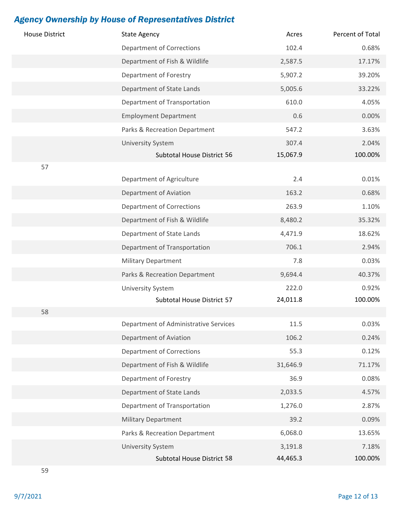| <b>House District</b> | <b>State Agency</b>                   | Acres    | Percent of Total |
|-----------------------|---------------------------------------|----------|------------------|
|                       | <b>Department of Corrections</b>      | 102.4    | 0.68%            |
|                       | Department of Fish & Wildlife         | 2,587.5  | 17.17%           |
|                       | Department of Forestry                | 5,907.2  | 39.20%           |
|                       | Department of State Lands             | 5,005.6  | 33.22%           |
|                       | Department of Transportation          | 610.0    | 4.05%            |
|                       | <b>Employment Department</b>          | 0.6      | 0.00%            |
|                       | Parks & Recreation Department         | 547.2    | 3.63%            |
|                       | <b>University System</b>              | 307.4    | 2.04%            |
|                       | Subtotal House District 56            | 15,067.9 | 100.00%          |
| 57                    |                                       |          |                  |
|                       | Department of Agriculture             | 2.4      | 0.01%            |
|                       | Department of Aviation                | 163.2    | 0.68%            |
|                       | <b>Department of Corrections</b>      | 263.9    | 1.10%            |
|                       | Department of Fish & Wildlife         | 8,480.2  | 35.32%           |
|                       | Department of State Lands             | 4,471.9  | 18.62%           |
|                       | Department of Transportation          | 706.1    | 2.94%            |
|                       | <b>Military Department</b>            | 7.8      | 0.03%            |
|                       | Parks & Recreation Department         | 9,694.4  | 40.37%           |
|                       | <b>University System</b>              | 222.0    | 0.92%            |
|                       | Subtotal House District 57            | 24,011.8 | 100.00%          |
| 58                    |                                       |          |                  |
|                       | Department of Administrative Services | 11.5     | 0.03%            |
|                       | Department of Aviation                | 106.2    | 0.24%            |
|                       | <b>Department of Corrections</b>      | 55.3     | 0.12%            |
|                       | Department of Fish & Wildlife         | 31,646.9 | 71.17%           |
|                       | Department of Forestry                | 36.9     | 0.08%            |
|                       | Department of State Lands             | 2,033.5  | 4.57%            |
|                       | Department of Transportation          | 1,276.0  | 2.87%            |
|                       | <b>Military Department</b>            | 39.2     | 0.09%            |
|                       | Parks & Recreation Department         | 6,068.0  | 13.65%           |
|                       | <b>University System</b>              | 3,191.8  | 7.18%            |
|                       | Subtotal House District 58            | 44,465.3 | 100.00%          |